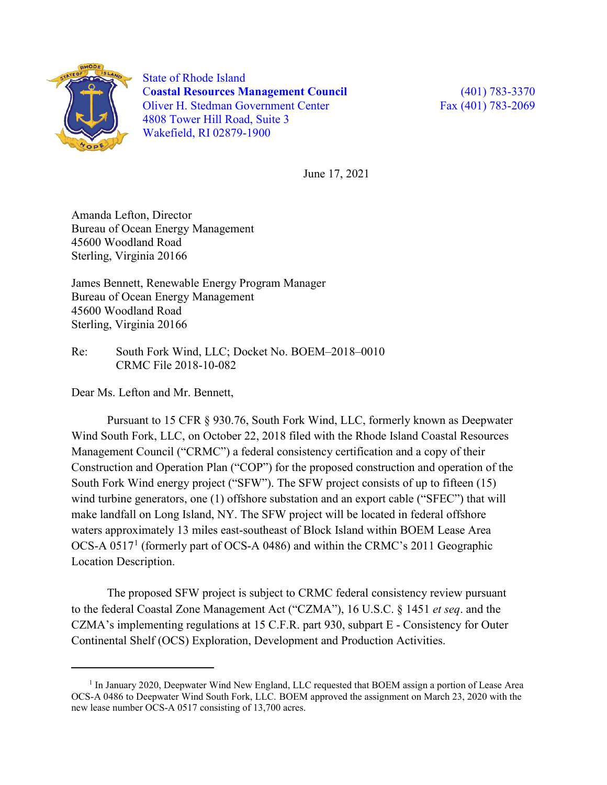

 $\overline{a}$ 

State of Rhode Island C**oastal Resources Management Council** (401) 783-3370 Oliver H. Stedman Government Center Fax (401) 783-2069 4808 Tower Hill Road, Suite 3 Wakefield, RI 02879-1900

June 17, 2021

Amanda Lefton, Director Bureau of Ocean Energy Management 45600 Woodland Road Sterling, Virginia 20166

James Bennett, Renewable Energy Program Manager Bureau of Ocean Energy Management 45600 Woodland Road Sterling, Virginia 20166

Re: South Fork Wind, LLC; Docket No. BOEM–2018–0010 CRMC File 2018-10-082

Dear Ms. Lefton and Mr. Bennett,

Pursuant to 15 CFR § 930.76, South Fork Wind, LLC, formerly known as Deepwater Wind South Fork, LLC, on October 22, 2018 filed with the Rhode Island Coastal Resources Management Council ("CRMC") a federal consistency certification and a copy of their Construction and Operation Plan ("COP") for the proposed construction and operation of the South Fork Wind energy project ("SFW"). The SFW project consists of up to fifteen (15) wind turbine generators, one (1) offshore substation and an export cable ("SFEC") that will make landfall on Long Island, NY. The SFW project will be located in federal offshore waters approximately 13 miles east-southeast of Block Island within BOEM Lease Area OCS-A 0517[1](#page-0-0) (formerly part of OCS-A 0486) and within the CRMC's 2011 Geographic Location Description.

The proposed SFW project is subject to CRMC federal consistency review pursuant to the federal Coastal Zone Management Act ("CZMA"), 16 U.S.C. § 1451 *et seq*. and the CZMA's implementing regulations at 15 C.F.R. part 930, subpart E - Consistency for Outer Continental Shelf (OCS) Exploration, Development and Production Activities.

<span id="page-0-0"></span><sup>&</sup>lt;sup>1</sup> In January 2020, Deepwater Wind New England, LLC requested that BOEM assign a portion of Lease Area OCS-A 0486 to Deepwater Wind South Fork, LLC. BOEM approved the assignment on March 23, 2020 with the new lease number OCS-A 0517 consisting of 13,700 acres.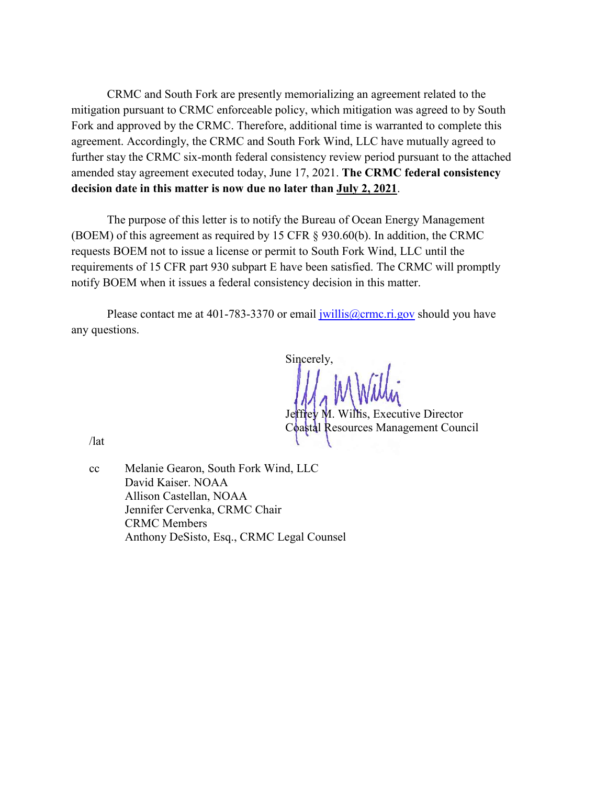CRMC and South Fork are presently memorializing an agreement related to the mitigation pursuant to CRMC enforceable policy, which mitigation was agreed to by South Fork and approved by the CRMC. Therefore, additional time is warranted to complete this agreement. Accordingly, the CRMC and South Fork Wind, LLC have mutually agreed to further stay the CRMC six-month federal consistency review period pursuant to the attached amended stay agreement executed today, June 17, 2021. **The CRMC federal consistency decision date in this matter is now due no later than July 2, 2021**.

The purpose of this letter is to notify the Bureau of Ocean Energy Management (BOEM) of this agreement as required by 15 CFR § 930.60(b). In addition, the CRMC requests BOEM not to issue a license or permit to South Fork Wind, LLC until the requirements of 15 CFR part 930 subpart E have been satisfied. The CRMC will promptly notify BOEM when it issues a federal consistency decision in this matter.

Please contact me at 401-783-3370 or email  $\frac{ivillis@crmc.ri.gov}$  should you have any questions.

Sincerely, frey M. Willis, Executive Director Coastal Resources Management Council

/lat

cc Melanie Gearon, South Fork Wind, LLC David Kaiser. NOAA Allison Castellan, NOAA Jennifer Cervenka, CRMC Chair CRMC Members Anthony DeSisto, Esq., CRMC Legal Counsel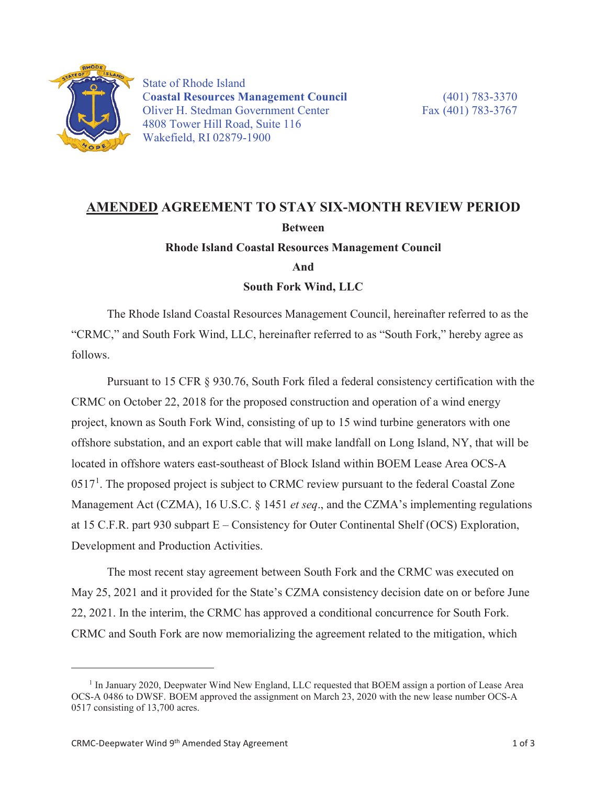

State of Rhode Island C**oastal Resources Management Council** (401) 783-3370 Oliver H. Stedman Government Center Fax (401) 783-3767 4808 Tower Hill Road, Suite 116 Wakefield, RI 02879-1900

## **AMENDED AGREEMENT TO STAY SIX-MONTH REVIEW PERIOD Between Rhode Island Coastal Resources Management Council**

**And** 

**South Fork Wind, LLC**

The Rhode Island Coastal Resources Management Council, hereinafter referred to as the "CRMC," and South Fork Wind, LLC, hereinafter referred to as "South Fork," hereby agree as follows.

Pursuant to 15 CFR § 930.76, South Fork filed a federal consistency certification with the CRMC on October 22, 2018 for the proposed construction and operation of a wind energy project, known as South Fork Wind, consisting of up to 15 wind turbine generators with one offshore substation, and an export cable that will make landfall on Long Island, NY, that will be located in offshore waters east-southeast of Block Island within BOEM Lease Area OCS-A  $0517<sup>1</sup>$ . The proposed project is subject to CRMC review pursuant to the federal Coastal Zone Management Act (CZMA), 16 U.S.C. § 1451 *et seq*., and the CZMA's implementing regulations at 15 C.F.R. part 930 subpart E – Consistency for Outer Continental Shelf (OCS) Exploration, Development and Production Activities.

The most recent stay agreement between South Fork and the CRMC was executed on May 25, 2021 and it provided for the State's CZMA consistency decision date on or before June 22, 2021. In the interim, the CRMC has approved a conditional concurrence for South Fork. CRMC and South Fork are now memorializing the agreement related to the mitigation, which

 $\overline{a}$ 

<sup>&</sup>lt;sup>1</sup> In January 2020, Deepwater Wind New England, LLC requested that BOEM assign a portion of Lease Area OCS-A 0486 to DWSF. BOEM approved the assignment on March 23, 2020 with the new lease number OCS-A 0517 consisting of 13,700 acres.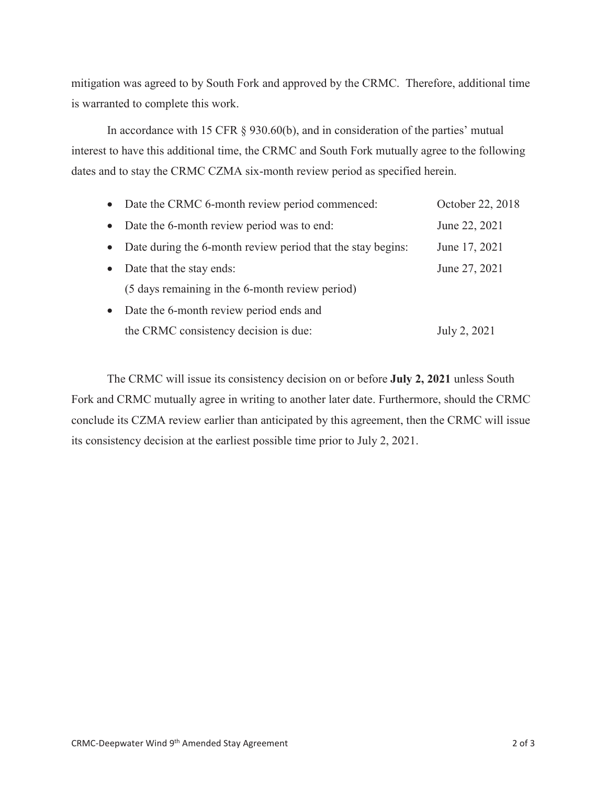mitigation was agreed to by South Fork and approved by the CRMC. Therefore, additional time is warranted to complete this work.

In accordance with 15 CFR § 930.60(b), and in consideration of the parties' mutual interest to have this additional time, the CRMC and South Fork mutually agree to the following dates and to stay the CRMC CZMA six-month review period as specified herein.

|           | • Date the CRMC 6-month review period commenced:            | October 22, 2018 |
|-----------|-------------------------------------------------------------|------------------|
| $\bullet$ | Date the 6-month review period was to end:                  | June 22, 2021    |
| $\bullet$ | Date during the 6-month review period that the stay begins: | June 17, 2021    |
| $\bullet$ | Date that the stay ends:                                    | June 27, 2021    |
|           | (5 days remaining in the 6-month review period)             |                  |
| $\bullet$ | Date the 6-month review period ends and                     |                  |
|           | the CRMC consistency decision is due:                       | July 2, 2021     |

The CRMC will issue its consistency decision on or before **July 2, 2021** unless South Fork and CRMC mutually agree in writing to another later date. Furthermore, should the CRMC conclude its CZMA review earlier than anticipated by this agreement, then the CRMC will issue its consistency decision at the earliest possible time prior to July 2, 2021.